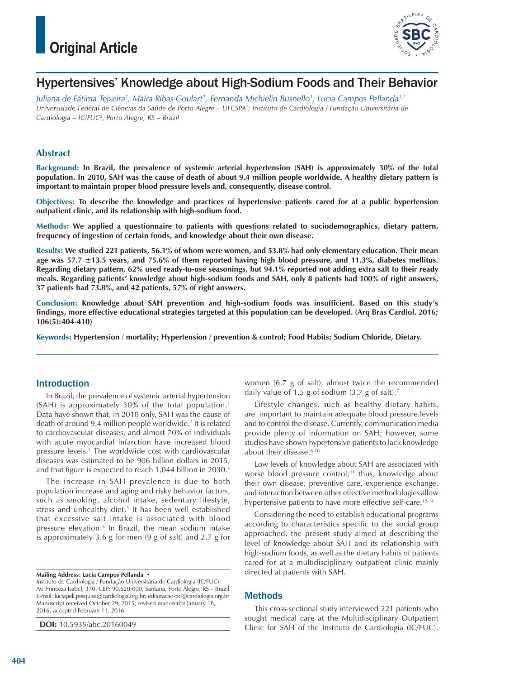

## Hypertensives' Knowledge about High-Sodium Foods and Their Behavior

*Juliana de Fátima Teixeira1 , Maíra Ribas Goulart1 , Fernanda Michielin Busnello1 , Lucia Campos Pellanda1,2 Universidade Federal de Ciências da Saúde de Porto Alegre – UFCSPA1; Instituto de Cardiologia / Fundação Universitária de Cardiologia – IC/FUC2, Porto Alegre, RS – Brazil*

### **Abstract**

**Background: In Brazil, the prevalence of systemic arterial hypertension (SAH) is approximately 30% of the total population. In 2010, SAH was the cause of death of about 9.4 million people worldwide. A healthy dietary pattern is important to maintain proper blood pressure levels and, consequently, disease control.**

**Objectives: To describe the knowledge and practices of hypertensive patients cared for at a public hypertension outpatient clinic, and its relationship with high-sodium food.**

**Methods: We applied a questionnaire to patients with questions related to sociodemographics, dietary pattern, frequency of ingestion of certain foods, and knowledge about their own disease.**

**Results: We studied 221 patients, 56.1% of whom were women, and 53.8% had only elementary education. Their mean age was 57.7 ±13.5 years, and 75.6% of them reported having high blood pressure, and 11.3%, diabetes mellitus. Regarding dietary pattern, 62% used ready-to-use seasonings, but 94.1% reported not adding extra salt to their ready meals. Regarding patients' knowledge about high-sodium foods and SAH, only 8 patients had 100% of right answers, 37 patients had 73.8%, and 42 patients, 57% of right answers.**

**Conclusion: Knowledge about SAH prevention and high-sodium foods was insufficient. Based on this study's findings, more effective educational strategies targeted at this population can be developed. (Arq Bras Cardiol. 2016; 106(5):404-410)**

**Keywords: Hypertension / mortality; Hypertension / prevention & control; Food Habits; Sodium Chloride, Dietary.**

### Introduction

In Brazil, the prevalence of systemic arterial hypertension (SAH) is approximately 30% of the total population.1 Data have shown that, in 2010 only, SAH was the cause of death of around 9.4 million people worldwide.<sup>2</sup> It is related to cardiovascular diseases, and almost 70% of individuals with acute myocardial infarction have increased blood pressure levels.3 The worldwide cost with cardiovascular diseases was estimated to be 906 billion dollars in 2015, and that figure is expected to reach 1,044 billion in 2030.4

The increase in SAH prevalence is due to both population increase and aging and risky behavior factors, such as smoking, alcohol intake, sedentary lifestyle, stress and unhealthy diet.<sup>5</sup> It has been well established that excessive salt intake is associated with blood pressure elevation.<sup>6</sup> In Brazil, the mean sodium intake is approximately 3.6 g for men (9 g of salt) and 2.7 g for

**Mailing Address: Lucia Campos Pellanda •**

Instituto de Cardiologia / Fundação Universitária de Cardiologia (IC/FUC) Av. Princesa Isabel, 370. CEP: 90.620-000, Santana, Porto Alegre, RS – Brazil E-mail: luciapell.pesquisa@cardiologia.org.br; editoracao-pc@cardiologia.org.br Manuscript received October 29, 2015; revised manuscript January 18, 2016; accepted February 11, 2016.

**DOI:** 10.5935/abc.20160049

women (6.7 g of salt), almost twice the recommended daily value of 1.5 g of sodium (3.7 g of salt).<sup>7</sup>

Lifestyle changes, such as healthy dietary habits, are important to maintain adequate blood pressure levels and to control the disease. Currently, communication media provide plenty of information on SAH; however, some studies have shown hypertensive patients to lack knowledge about their disease.<sup>8-10</sup>

Low levels of knowledge about SAH are associated with worse blood pressure control;<sup>11</sup> thus, knowledge about their own disease, preventive care, experience exchange, and interaction between other effective methodologies allow hypertensive patients to have more effective self-care.<sup>12-14</sup>

Considering the need to establish educational programs according to characteristics specific to the social group approached, the present study aimed at describing the level of knowledge about SAH and its relationship with high-sodium foods, as well as the dietary habits of patients cared for at a multidisciplinary outpatient clinic mainly directed at patients with SAH.

### Methods

This cross-sectional study interviewed 221 patients who sought medical care at the Multidisciplinary Outpatient Clinic for SAH of the Instituto de Cardiologia (IC/FUC),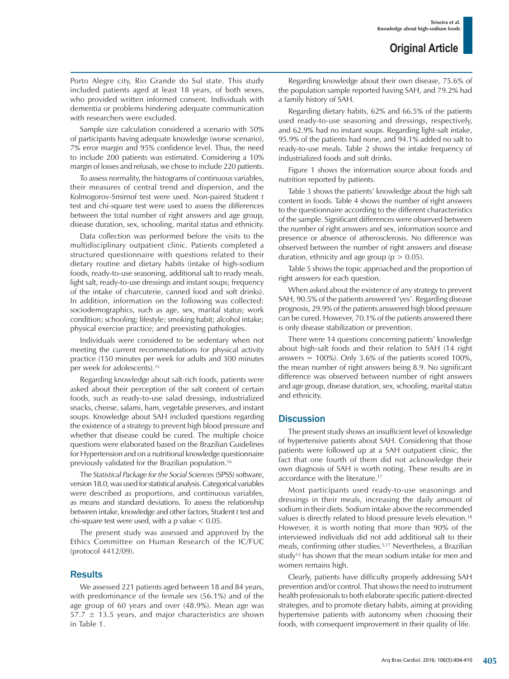Porto Alegre city, Rio Grande do Sul state. This study included patients aged at least 18 years, of both sexes, who provided written informed consent. Individuals with dementia or problems hindering adequate communication with researchers were excluded.

Sample size calculation considered a scenario with 50% of participants having adequate knowledge (worse scenario), 7% error margin and 95% confidence level. Thus, the need to include 200 patients was estimated. Considering a 10% margin of losses and refusals, we chose to include 220 patients.

To assess normality, the histograms of continuous variables, their measures of central trend and dispersion, and the Kolmogorov-Smirnof test were used. Non-paired Student *t* test and chi-square test were used to assess the differences between the total number of right answers and age group, disease duration, sex, schooling, marital status and ethnicity.

Data collection was performed before the visits to the multidisciplinary outpatient clinic. Patients completed a structured questionnaire with questions related to their dietary routine and dietary habits (intake of high-sodium foods, ready-to-use seasoning, additional salt to ready meals, light salt, ready-to-use dressings and instant soups; frequency of the intake of charcuterie, canned food and soft drinks). In addition, information on the following was collected: sociodemographics, such as age, sex, marital status; work condition; schooling; lifestyle; smoking habit; alcohol intake; physical exercise practice; and preexisting pathologies.

Individuals were considered to be sedentary when not meeting the current recommendations for physical activity practice (150 minutes per week for adults and 300 minutes per week for adolescents).15

Regarding knowledge about salt-rich foods, patients were asked about their perception of the salt content of certain foods, such as ready-to-use salad dressings, industrialized snacks, cheese, salami, ham, vegetable preserves, and instant soups. Knowledge about SAH included questions regarding the existence of a strategy to prevent high blood pressure and whether that disease could be cured. The multiple choice questions were elaborated based on the Brazilian Guidelines for Hypertension and on a nutritional knowledge questionnaire previously validated for the Brazilian population.16

The *Statistical Package for the Social Sciences* (SPSS) software, version 18.0, was used for statistical analysis. Categorical variables were described as proportions, and continuous variables, as means and standard deviations. To assess the relationship between intake, knowledge and other factors, Student *t* test and chi-square test were used, with a p value  $< 0.05$ .

The present study was assessed and approved by the Ethics Committee on Human Research of the IC/FUC (protocol 4412/09).

### **Results**

We assessed 221 patients aged between 18 and 84 years, with predominance of the female sex (56.1%) and of the age group of 60 years and over (48.9%). Mean age was  $57.7 \pm 13.5$  years, and major characteristics are shown in Table 1.

Regarding knowledge about their own disease, 75.6% of the population sample reported having SAH, and 79.2% had a family history of SAH.

Regarding dietary habits, 62% and 66.5% of the patients used ready-to-use seasoning and dressings, respectively, and 62.9% had no instant soups. Regarding light-salt intake, 95.9% of the patients had none, and 94.1% added no salt to ready-to-use meals. Table 2 shows the intake frequency of industrialized foods and soft drinks.

Figure 1 shows the information source about foods and nutrition reported by patients.

Table 3 shows the patients' knowledge about the high salt content in foods. Table 4 shows the number of right answers to the questionnaire according to the different characteristics of the sample. Significant differences were observed between the number of right answers and sex, information source and presence or absence of atherosclerosis. No difference was observed between the number of right answers and disease duration, ethnicity and age group ( $p > 0.05$ ).

Table 5 shows the topic approached and the proportion of right answers for each question.

When asked about the existence of any strategy to prevent SAH, 90.5% of the patients answered 'yes'. Regarding disease prognosis, 29.9% of the patients answered high blood pressure can be cured. However, 70.1% of the patients answered there is only disease stabilization or prevention.

There were 14 questions concerning patients' knowledge about high-salt foods and their relation to SAH (14 right answers =  $100\%$ ). Only 3.6% of the patients scored 100%, the mean number of right answers being 8.9. No significant difference was observed between number of right answers and age group, disease duration, sex, schooling, marital status and ethnicity.

### **Discussion**

The present study shows an insufficient level of knowledge of hypertensive patients about SAH. Considering that those patients were followed up at a SAH outpatient clinic, the fact that one fourth of them did not acknowledge their own diagnosis of SAH is worth noting. These results are in accordance with the literature.<sup>17</sup>

Most participants used ready-to-use seasonings and dressings in their meals, increasing the daily amount of sodium in their diets. Sodium intake above the recommended values is directly related to blood pressure levels elevation.18 However, it is worth noting that more than 90% of the interviewed individuals did not add additional salt to their meals, confirming other studies.5,17 Nevertheless, a Brazilian study12 has shown that the mean sodium intake for men and women remains high.

Clearly, patients have difficulty properly addressing SAH prevention and/or control. That shows the need to instrument health professionals to both elaborate specific patient-directed strategies, and to promote dietary habits, aiming at providing hypertensive patients with autonomy when choosing their foods, with consequent improvement in their quality of life.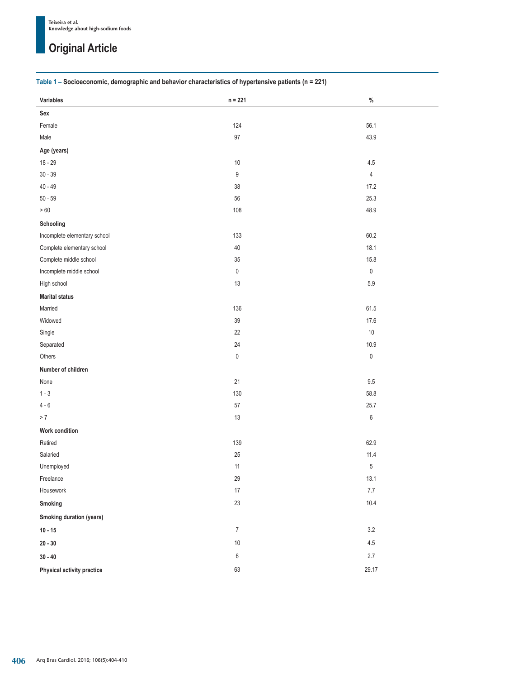### **Table 1 – Socioeconomic, demographic and behavior characteristics of hypertensive patients (n = 221)**

| Variables                    | $n = 221$        | $\%$           |
|------------------------------|------------------|----------------|
| Sex                          |                  |                |
| Female                       | 124              | 56.1           |
| Male                         | $97\,$           | 43.9           |
| Age (years)                  |                  |                |
| $18 - 29$                    | $10\,$           | 4.5            |
| $30 - 39$                    | 9                | $\overline{4}$ |
| $40 - 49$                    | 38               | 17.2           |
| $50 - 59$                    | 56               | 25.3           |
| $>60\,$                      | 108              | 48.9           |
| Schooling                    |                  |                |
| Incomplete elementary school | 133              | 60.2           |
| Complete elementary school   | $40\,$           | 18.1           |
| Complete middle school       | $35\,$           | 15.8           |
| Incomplete middle school     | 0                | $\mathbf 0$    |
| High school                  | $13$             | $5.9\,$        |
| <b>Marital status</b>        |                  |                |
| Married                      | 136              | 61.5           |
| Widowed                      | $39\,$           | 17.6           |
| Single                       | 22               | $10$           |
| Separated                    | 24               | 10.9           |
| Others                       | $\pmb{0}$        | $\pmb{0}$      |
| Number of children           |                  |                |
| None                         | 21               | 9.5            |
| $1 - 3$                      | 130              | 58.8           |
| $4-6\,$                      | $57\,$           | 25.7           |
| $> 7\,$                      | $13$             | 6              |
| Work condition               |                  |                |
| Retired                      | 139              | 62.9           |
| Salaried                     | 25               | 11.4           |
| Unemployed                   | 11               | 5              |
| Freelance                    | 29               | 13.1           |
| Housework                    | $17\,$           | $7.7\,$        |
| Smoking                      | 23               | 10.4           |
| Smoking duration (years)     |                  |                |
| $10 - 15$                    | $\boldsymbol{7}$ | $3.2\,$        |
| $20 - 30$                    | $10\,$           | $4.5\,$        |
| $30 - 40$                    | 6                | 2.7            |
| Physical activity practice   | 63               | 29.17          |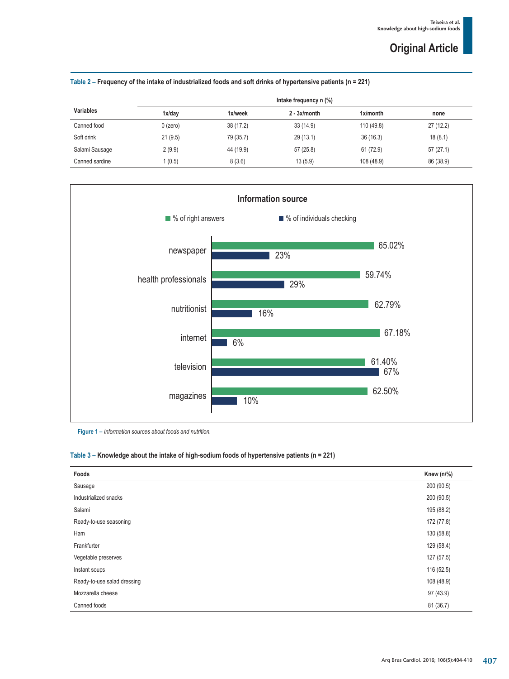|                  |            | Intake frequency n (%) |                 |             |           |
|------------------|------------|------------------------|-----------------|-------------|-----------|
| <b>Variables</b> | 1x/day     | 1x/week                | $2 - 3x/m$ onth | $1x/m$ onth | none      |
| Canned food      | $0$ (zero) | 38 (17.2)              | 33(14.9)        | 110 (49.8)  | 27(12.2)  |
| Soft drink       | 21(9.5)    | 79 (35.7)              | 29(13.1)        | 36(16.3)    | 18(8.1)   |
| Salami Sausage   | 2(9.9)     | 44 (19.9)              | 57 (25.8)       | 61 (72.9)   | 57(27.1)  |
| Canned sardine   | 1(0.5)     | 8(3.6)                 | 13(5.9)         | 108 (48.9)  | 86 (38.9) |





**Figure 1 –** *Information sources about foods and nutrition.* 

### **Table 3 – Knowledge about the intake of high-sodium foods of hypertensive patients (n = 221)**

| Foods                       | Knew $(n\frac{9}{6})$ |
|-----------------------------|-----------------------|
| Sausage                     | 200 (90.5)            |
| Industrialized snacks       | 200 (90.5)            |
| Salami                      | 195 (88.2)            |
| Ready-to-use seasoning      | 172 (77.8)            |
| Ham                         | 130 (58.8)            |
| Frankfurter                 | 129 (58.4)            |
| Vegetable preserves         | 127 (57.5)            |
| Instant soups               | 116 (52.5)            |
| Ready-to-use salad dressing | 108 (48.9)            |
| Mozzarella cheese           | 97 (43.9)             |
| Canned foods                | 81 (36.7)             |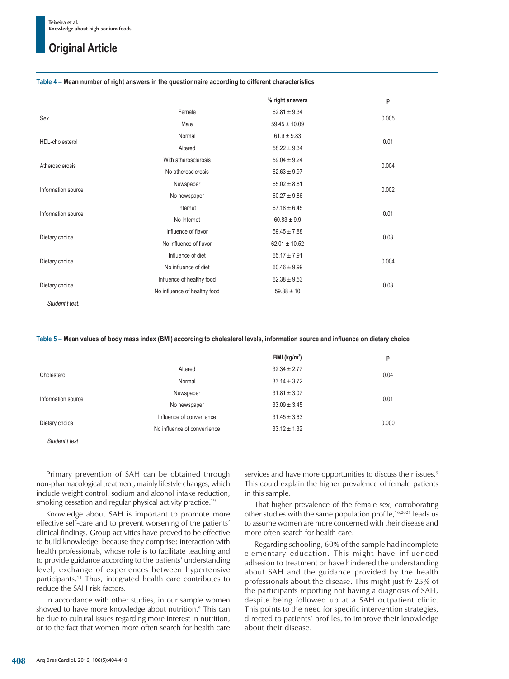#### **Table 4 – Mean number of right answers in the questionnaire according to different characteristics**

|                    |                              | % right answers   | p     |  |
|--------------------|------------------------------|-------------------|-------|--|
| Sex                | Female                       | $62.81 \pm 9.34$  |       |  |
|                    | Male                         | $59.45 \pm 10.09$ | 0.005 |  |
|                    | Normal                       | $61.9 \pm 9.83$   | 0.01  |  |
| HDL-cholesterol    | Altered                      | $58.22 \pm 9.34$  |       |  |
|                    | With atherosclerosis         | $59.04 \pm 9.24$  |       |  |
| Atherosclerosis    | No atherosclerosis           | $62.63 \pm 9.97$  | 0.004 |  |
| Information source | Newspaper                    | $65.02 \pm 8.81$  |       |  |
|                    | No newspaper                 | $60.27 \pm 9.86$  | 0.002 |  |
| Information source | Internet                     | $67.18 \pm 6.45$  |       |  |
|                    | No Internet                  | $60.83 \pm 9.9$   | 0.01  |  |
| Dietary choice     | Influence of flavor          | $59.45 \pm 7.88$  | 0.03  |  |
|                    | No influence of flavor       | $62.01 \pm 10.52$ |       |  |
| Dietary choice     | Influence of diet            | $65.17 \pm 7.91$  | 0.004 |  |
|                    | No influence of diet         | $60.46 \pm 9.99$  |       |  |
| Dietary choice     | Influence of healthy food    | $62.38 \pm 9.53$  | 0.03  |  |
|                    | No influence of healthy food | $59.88 \pm 10$    |       |  |

*Student t test.*

#### **Table 5 – Mean values of body mass index (BMI) according to cholesterol levels, information source and influence on dietary choice**

|                    |                             | BMI ( $kg/m2$ )  | р     |
|--------------------|-----------------------------|------------------|-------|
| Cholesterol        | Altered                     | $32.34 \pm 2.77$ | 0.04  |
|                    | Normal                      | $33.14 \pm 3.72$ |       |
| Information source | Newspaper                   | $31.81 \pm 3.07$ | 0.01  |
|                    | No newspaper                | $33.09 \pm 3.45$ |       |
| Dietary choice     | Influence of convenience    | $31.45 \pm 3.63$ | 0.000 |
|                    | No influence of convenience | $33.12 \pm 1.32$ |       |

*Student t test*

Primary prevention of SAH can be obtained through non-pharmacological treatment, mainly lifestyle changes, which include weight control, sodium and alcohol intake reduction, smoking cessation and regular physical activity practice.19

Knowledge about SAH is important to promote more effective self-care and to prevent worsening of the patients' clinical findings. Group activities have proved to be effective to build knowledge, because they comprise: interaction with health professionals, whose role is to facilitate teaching and to provide guidance according to the patients' understanding level; exchange of experiences between hypertensive participants.<sup>11</sup> Thus, integrated health care contributes to reduce the SAH risk factors.

In accordance with other studies, in our sample women showed to have more knowledge about nutrition.9 This can be due to cultural issues regarding more interest in nutrition, or to the fact that women more often search for health care

services and have more opportunities to discuss their issues.<sup>9</sup> This could explain the higher prevalence of female patients in this sample.

That higher prevalence of the female sex, corroborating other studies with the same population profile,16,2021 leads us to assume women are more concerned with their disease and more often search for health care.

Regarding schooling, 60% of the sample had incomplete elementary education. This might have influenced adhesion to treatment or have hindered the understanding about SAH and the guidance provided by the health professionals about the disease. This might justify 25% of the participants reporting not having a diagnosis of SAH, despite being followed up at a SAH outpatient clinic. This points to the need for specific intervention strategies, directed to patients' profiles, to improve their knowledge about their disease.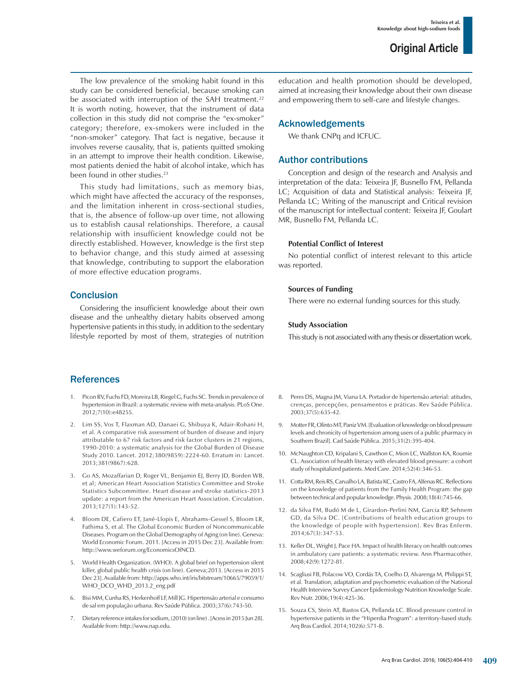The low prevalence of the smoking habit found in this study can be considered beneficial, because smoking can be associated with interruption of the SAH treatment.<sup>22</sup> It is worth noting, however, that the instrument of data collection in this study did not comprise the "ex-smoker" category; therefore, ex-smokers were included in the "non-smoker" category. That fact is negative, because it involves reverse causality, that is, patients quitted smoking in an attempt to improve their health condition. Likewise, most patients denied the habit of alcohol intake, which has been found in other studies.<sup>23</sup>

This study had limitations, such as memory bias, which might have affected the accuracy of the responses, and the limitation inherent in cross-sectional studies, that is, the absence of follow-up over time, not allowing us to establish causal relationships. Therefore, a causal relationship with insufficient knowledge could not be directly established. However, knowledge is the first step to behavior change, and this study aimed at assessing that knowledge, contributing to support the elaboration of more effective education programs.

### **Conclusion**

Considering the insufficient knowledge about their own disease and the unhealthy dietary habits observed among hypertensive patients in this study, in addition to the sedentary lifestyle reported by most of them, strategies of nutrition

References

- 1. Picon RV, Fuchs FD, Moreira LB, Riegel G, Fuchs SC. Trends in prevalence of hypertension in Brazil: a systematic review with meta-analysis. PLoS One. 2012;7(10):e48255.
- 2. Lim SS, Vos T, Flaxman AD, Danaei G, Shibuya K, Adair-Rohani H, et al. A comparative risk assessment of burden of disease and injury attributable to 67 risk factors and risk factor clusters in 21 regions, 1990-2010: a systematic analysis for the Global Burden of Disease Study 2010. Lancet. 2012;380(9859):2224-60. Erratum in: Lancet. 2013;381(9867):628.
- 3. Go AS, Mozaffarian D, Roger VL, Benjamin EJ, Berry JD, Borden WB, et al; American Heart Association Statistics Committee and Stroke Statistics Subcommittee. Heart disease and stroke statistics-2013 update: a report from the American Heart Association. Circulation. 2013;127(1):143-52.
- 4. Bloom DE, Cafiero ET, Jané-Llopis E, Abrahams-Gessel S, Bloom LR, Fathima S, et al. The Global Economic Burden of Noncommunicable Diseases. Program on the Global Demography of Aging (on line). Geneva: World Economic Forum. 2011. [Access in 2015 Dec 23]. Available from: http://www.weforum.org/EconomicsOfNCD.
- 5. World Health Organization. (WHO). A global brief on hypertension silent killer, global public health crisis (on line). Geneva;2013. [Access in 2015 Dec 23]. Available from: http://apps.who.int/iris/bitstream/10665/79059/1/ WHO\_DCO\_WHD\_2013.2\_eng.pdf
- 6. Bisi MM, Cunha RS, Herkenhoff LF, Mill JG. Hipertensão arterial e consumo de sal em população urbana. Rev Saúde Pública. 2003;37(6):743-50.
- 7. Dietary reference intakes for sodium, (2010) (on line) . [Acess in 2015 Jun 28]. Available from: http://www.nap.edu.

education and health promotion should be developed, aimed at increasing their knowledge about their own disease and empowering them to self-care and lifestyle changes.

### Acknowledgements

We thank CNPq and ICFUC.

### Author contributions

Conception and design of the research and Analysis and interpretation of the data: Teixeira JF, Busnello FM, Pellanda LC; Acquisition of data and Statistical analysis: Teixeira JF, Pellanda LC; Writing of the manuscript and Critical revision of the manuscript for intellectual content: Teixeira JF, Goulart MR, Busnello FM, Pellanda LC.

### **Potential Conflict of Interest**

No potential conflict of interest relevant to this article was reported.

### **Sources of Funding**

There were no external funding sources for this study.

### **Study Association**

This study is not associated with any thesis or dissertation work.

- 8. Peres DS, Magna JM, Viana LA. Portador de hipertensão arterial: atitudes, crenças, percepções, pensamentos e práticas. Rev Saúde Pública. 2003;37(5):635-42.
- 9. Motter FR, Olinto MT, Paniz VM. [Evaluation of knowledge on blood pressure levels and chronicity of hypertension among users of a public pharmacy in Southern Brazil]. Cad Saúde Pública. 2015;31(2):395-404.
- 10. McNaughton CD, Kripalani S, Cawthon C, Mion LC, Wallston KA, Roumie CL. Association of health literacy with elevated blood pressure: a cohort study of hospitalized patients. Med Care. 2014;52(4):346-53.
- 11. Cotta RM, Reis RS, Carvalho LA, Batista KC, Castro FA, Alfenas RC. Reflections on the knowledge of patients from the Family Health Program: the gap between technical and popular knowledge. Physis. 2008;18(4):745-66.
- 12. da Silva FM, Budó M de L, Girardon-Perlini NM, Garcia RP, Sehnem GD, da Silva DC. [Contributions of health education groups to the knowledge of people with hypertension]. Rev Bras Enferm. 2014;67(3):347-53.
- 13. Keller DL, Wright J, Pace HA. Impact of health literacy on health outcomes in ambulatory care patients: a systematic review. Ann Pharmacother. 2008;42(9):1272-81.
- 14. Scagliusi FB, Polacow VO, Cordás TA, Coelho D, Alvarenga M, Philippi ST, et al. Translation, adaptation and psychometric evaluation of the National Health Interview Survey Cancer Epidemiology Nutrition Knowledge Scale. Rev Nutr. 2006;19(4):425-36.
- 15. Souza CS, Stein AT, Bastos GA, Pellanda LC. Blood pressure control in hypertensive patients in the "Hiperdia Program": a territory-based study. Arq Bras Cardiol. 2014;102(6):571-8.